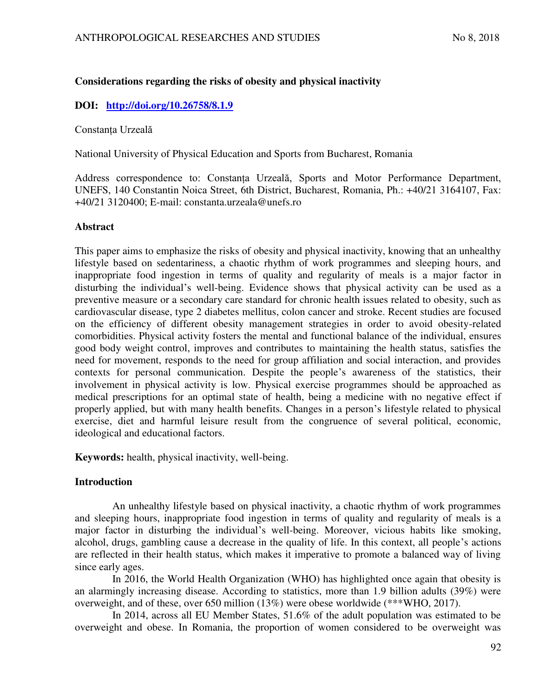# **Considerations regarding the risks of obesity and physical inactivity**

# **DOI: <http://doi.org/10.26758/8.1.9>**

### Constanța Urzeală

National University of Physical Education and Sports from Bucharest, Romania

Address correspondence to: Constanța Urzeală, Sports and Motor Performance Department, UNEFS, 140 Constantin Noica Street, 6th District, Bucharest, Romania, Ph.: +40/21 3164107, Fax: +40/21 3120400; E-mail: constanta.urzeala@unefs.ro

### **Abstract**

This paper aims to emphasize the risks of obesity and physical inactivity, knowing that an unhealthy lifestyle based on sedentariness, a chaotic rhythm of work programmes and sleeping hours, and inappropriate food ingestion in terms of quality and regularity of meals is a major factor in disturbing the individual's well-being. Evidence shows that physical activity can be used as a preventive measure or a secondary care standard for chronic health issues related to obesity, such as cardiovascular disease, type 2 diabetes mellitus, colon cancer and stroke. Recent studies are focused on the efficiency of different obesity management strategies in order to avoid obesity-related comorbidities. Physical activity fosters the mental and functional balance of the individual, ensures good body weight control, improves and contributes to maintaining the health status, satisfies the need for movement, responds to the need for group affiliation and social interaction, and provides contexts for personal communication. Despite the people's awareness of the statistics, their involvement in physical activity is low. Physical exercise programmes should be approached as medical prescriptions for an optimal state of health, being a medicine with no negative effect if properly applied, but with many health benefits. Changes in a person's lifestyle related to physical exercise, diet and harmful leisure result from the congruence of several political, economic, ideological and educational factors.

**Keywords:** health, physical inactivity, well-being.

## **Introduction**

An unhealthy lifestyle based on physical inactivity, a chaotic rhythm of work programmes and sleeping hours, inappropriate food ingestion in terms of quality and regularity of meals is a major factor in disturbing the individual's well-being. Moreover, vicious habits like smoking, alcohol, drugs, gambling cause a decrease in the quality of life. In this context, all people's actions are reflected in their health status, which makes it imperative to promote a balanced way of living since early ages.

In 2016, the World Health Organization (WHO) has highlighted once again that obesity is an alarmingly increasing disease. According to statistics, more than 1.9 billion adults (39%) were overweight, and of these, over 650 million (13%) were obese worldwide (\*\*\*WHO, 2017).

In 2014, across all EU Member States, 51.6% of the adult population was estimated to be overweight and obese. In Romania, the proportion of women considered to be overweight was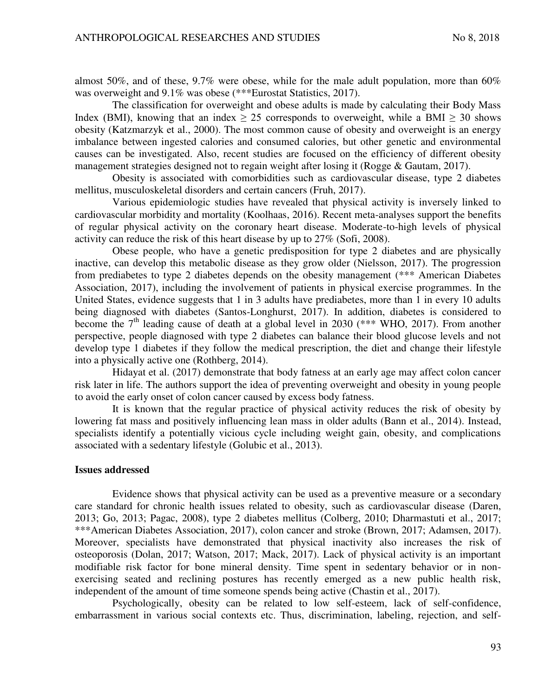almost 50%, and of these, 9.7% were obese, while for the male adult population, more than 60% was overweight and 9.1% was obese (\*\*\*Eurostat Statistics, 2017).

The classification for overweight and obese adults is made by calculating their Body Mass Index (BMI), knowing that an index  $\geq 25$  corresponds to overweight, while a BMI  $\geq 30$  shows obesity (Katzmarzyk et al., 2000). The most common cause of obesity and overweight is an energy imbalance between ingested calories and consumed calories, but other genetic and environmental causes can be investigated. Also, recent studies are focused on the efficiency of different obesity management strategies designed not to regain weight after losing it (Rogge & Gautam, 2017).

Obesity is associated with comorbidities such as cardiovascular disease, type 2 diabetes mellitus, musculoskeletal disorders and certain cancers (Fruh, 2017).

Various epidemiologic studies have revealed that physical activity is inversely linked to cardiovascular morbidity and mortality (Koolhaas, 2016). Recent meta-analyses support the benefits of regular physical activity on the coronary heart disease. Moderate-to-high levels of physical activity can reduce the risk of this heart disease by up to 27% (Sofi, 2008).

Obese people, who have a genetic predisposition for type 2 diabetes and are physically inactive, can develop this metabolic disease as they grow older (Nielsson, 2017). The progression from prediabetes to type 2 diabetes depends on the obesity management (\*\*\* American Diabetes Association, 2017), including the involvement of patients in physical exercise programmes. In the United States, evidence suggests that 1 in 3 adults have prediabetes, more than 1 in every 10 adults being diagnosed with diabetes (Santos-Longhurst, 2017). In addition, diabetes is considered to become the  $7<sup>th</sup>$  leading cause of death at a global level in 2030 (\*\*\* WHO, 2017). From another perspective, people diagnosed with type 2 diabetes can balance their blood glucose levels and not develop type 1 diabetes if they follow the medical prescription, the diet and change their lifestyle into a physically active one (Rothberg, 2014).

Hidayat et al. (2017) demonstrate that body fatness at an early age may affect colon cancer risk later in life. The authors support the idea of preventing overweight and obesity in young people to avoid the early onset of colon cancer caused by excess body fatness.

It is known that the regular practice of physical activity reduces the risk of obesity by lowering fat mass and positively influencing lean mass in older adults (Bann et al., 2014). Instead, specialists identify a potentially vicious cycle including weight gain, obesity, and complications associated with a sedentary lifestyle (Golubic et al., 2013).

#### **Issues addressed**

Evidence shows that physical activity can be used as a preventive measure or a secondary care standard for chronic health issues related to obesity, such as cardiovascular disease (Daren, 2013; Go, 2013; Pagac, 2008), type 2 diabetes mellitus (Colberg, 2010; Dharmastuti et al., 2017; \*\*\*American Diabetes Association, 2017), colon cancer and stroke (Brown, 2017; Adamsen, 2017). Moreover, specialists have demonstrated that physical inactivity also increases the risk of osteoporosis (Dolan, 2017; Watson, 2017; Mack, 2017). Lack of physical activity is an important modifiable risk factor for bone mineral density. Time spent in sedentary behavior or in nonexercising seated and reclining postures has recently emerged as a new public health risk, independent of the amount of time someone spends being active (Chastin et al., 2017).

Psychologically, obesity can be related to low self-esteem, lack of self-confidence, embarrassment in various social contexts etc. Thus, discrimination, labeling, rejection, and self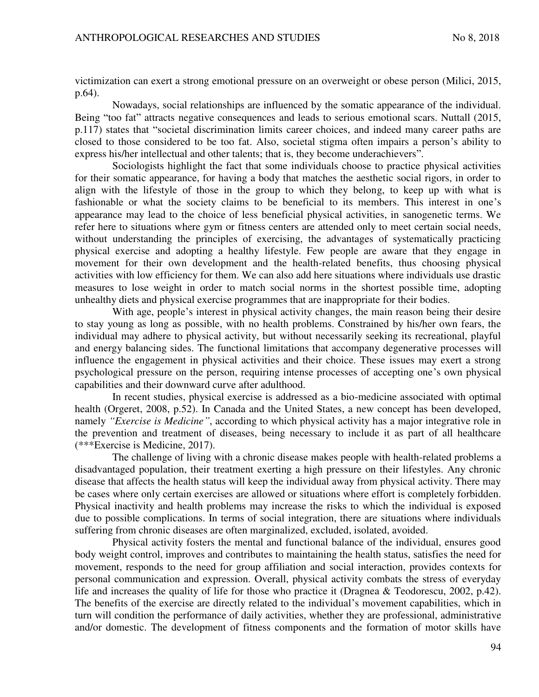victimization can exert a strong emotional pressure on an overweight or obese person (Milici, 2015, p.64).

Nowadays, social relationships are influenced by the somatic appearance of the individual. Being "too fat" attracts negative consequences and leads to serious emotional scars. Nuttall (2015, p.117) states that "societal discrimination limits career choices, and indeed many career paths are closed to those considered to be too fat. Also, societal stigma often impairs a person's ability to express his/her intellectual and other talents; that is, they become underachievers".

Sociologists highlight the fact that some individuals choose to practice physical activities for their somatic appearance, for having a body that matches the aesthetic social rigors, in order to align with the lifestyle of those in the group to which they belong, to keep up with what is fashionable or what the society claims to be beneficial to its members. This interest in one's appearance may lead to the choice of less beneficial physical activities, in sanogenetic terms. We refer here to situations where gym or fitness centers are attended only to meet certain social needs, without understanding the principles of exercising, the advantages of systematically practicing physical exercise and adopting a healthy lifestyle. Few people are aware that they engage in movement for their own development and the health-related benefits, thus choosing physical activities with low efficiency for them. We can also add here situations where individuals use drastic measures to lose weight in order to match social norms in the shortest possible time, adopting unhealthy diets and physical exercise programmes that are inappropriate for their bodies.

With age, people's interest in physical activity changes, the main reason being their desire to stay young as long as possible, with no health problems. Constrained by his/her own fears, the individual may adhere to physical activity, but without necessarily seeking its recreational, playful and energy balancing sides. The functional limitations that accompany degenerative processes will influence the engagement in physical activities and their choice. These issues may exert a strong psychological pressure on the person, requiring intense processes of accepting one's own physical capabilities and their downward curve after adulthood.

In recent studies, physical exercise is addressed as a bio-medicine associated with optimal health (Orgeret, 2008, p.52). In Canada and the United States, a new concept has been developed, namely *"Exercise is Medicine"*, according to which physical activity has a major integrative role in the prevention and treatment of diseases, being necessary to include it as part of all healthcare (\*\*\*Exercise is Medicine, 2017).

The challenge of living with a chronic disease makes people with health-related problems a disadvantaged population, their treatment exerting a high pressure on their lifestyles. Any chronic disease that affects the health status will keep the individual away from physical activity. There may be cases where only certain exercises are allowed or situations where effort is completely forbidden. Physical inactivity and health problems may increase the risks to which the individual is exposed due to possible complications. In terms of social integration, there are situations where individuals suffering from chronic diseases are often marginalized, excluded, isolated, avoided.

Physical activity fosters the mental and functional balance of the individual, ensures good body weight control, improves and contributes to maintaining the health status, satisfies the need for movement, responds to the need for group affiliation and social interaction, provides contexts for personal communication and expression. Overall, physical activity combats the stress of everyday life and increases the quality of life for those who practice it (Dragnea & Teodorescu, 2002, p.42). The benefits of the exercise are directly related to the individual's movement capabilities, which in turn will condition the performance of daily activities, whether they are professional, administrative and/or domestic. The development of fitness components and the formation of motor skills have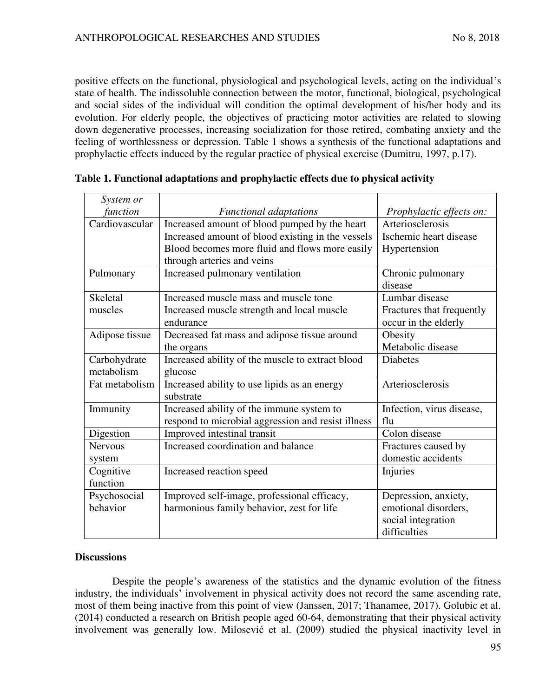positive effects on the functional, physiological and psychological levels, acting on the individual's state of health. The indissoluble connection between the motor, functional, biological, psychological and social sides of the individual will condition the optimal development of his/her body and its evolution. For elderly people, the objectives of practicing motor activities are related to slowing down degenerative processes, increasing socialization for those retired, combating anxiety and the feeling of worthlessness or depression. Table 1 shows a synthesis of the functional adaptations and prophylactic effects induced by the regular practice of physical exercise (Dumitru, 1997, p.17).

| System or       |                                                    |                           |
|-----------------|----------------------------------------------------|---------------------------|
| function        | <b>Functional adaptations</b>                      | Prophylactic effects on:  |
| Cardiovascular  | Increased amount of blood pumped by the heart      | Arteriosclerosis          |
|                 | Increased amount of blood existing in the vessels  | Ischemic heart disease    |
|                 | Blood becomes more fluid and flows more easily     | Hypertension              |
|                 | through arteries and veins                         |                           |
| Pulmonary       | Increased pulmonary ventilation                    | Chronic pulmonary         |
|                 |                                                    | disease                   |
| <b>Skeletal</b> | Increased muscle mass and muscle tone              | Lumbar disease            |
| muscles         | Increased muscle strength and local muscle         | Fractures that frequently |
|                 | endurance                                          | occur in the elderly      |
| Adipose tissue  | Decreased fat mass and adipose tissue around       | Obesity                   |
|                 | the organs                                         | Metabolic disease         |
| Carbohydrate    | Increased ability of the muscle to extract blood   | <b>Diabetes</b>           |
| metabolism      | glucose                                            |                           |
| Fat metabolism  | Increased ability to use lipids as an energy       | Arteriosclerosis          |
|                 | substrate                                          |                           |
| Immunity        | Increased ability of the immune system to          | Infection, virus disease, |
|                 | respond to microbial aggression and resist illness | flu                       |
| Digestion       | Improved intestinal transit                        | Colon disease             |
| <b>Nervous</b>  | Increased coordination and balance                 | Fractures caused by       |
| system          |                                                    | domestic accidents        |
| Cognitive       | Increased reaction speed                           | Injuries                  |
| function        |                                                    |                           |
| Psychosocial    | Improved self-image, professional efficacy,        | Depression, anxiety,      |
| behavior        | harmonious family behavior, zest for life          | emotional disorders,      |
|                 |                                                    | social integration        |
|                 |                                                    | difficulties              |

### **Table 1. Functional adaptations and prophylactic effects due to physical activity**

### **Discussions**

Despite the people's awareness of the statistics and the dynamic evolution of the fitness industry, the individuals' involvement in physical activity does not record the same ascending rate, most of them being inactive from this point of view (Janssen, 2017; Thanamee, 2017). Golubic et al. (2014) conducted a research on British people aged 60-64, demonstrating that their physical activity involvement was generally low. Milosević et al. (2009) studied the physical inactivity level in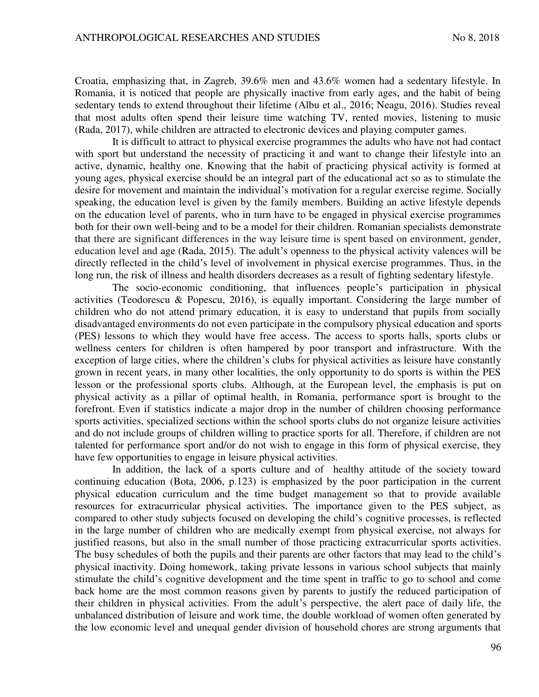Croatia, emphasizing that, in Zagreb, 39.6% men and 43.6% women had a sedentary lifestyle. In Romania, it is noticed that people are physically inactive from early ages, and the habit of being sedentary tends to extend throughout their lifetime (Albu et al., 2016; Neagu, 2016). Studies reveal that most adults often spend their leisure time watching TV, rented movies, listening to music (Rada, 2017), while children are attracted to electronic devices and playing computer games.

It is difficult to attract to physical exercise programmes the adults who have not had contact with sport but understand the necessity of practicing it and want to change their lifestyle into an active, dynamic, healthy one. Knowing that the habit of practicing physical activity is formed at young ages, physical exercise should be an integral part of the educational act so as to stimulate the desire for movement and maintain the individual's motivation for a regular exercise regime. Socially speaking, the education level is given by the family members. Building an active lifestyle depends on the education level of parents, who in turn have to be engaged in physical exercise programmes both for their own well-being and to be a model for their children. Romanian specialists demonstrate that there are significant differences in the way leisure time is spent based on environment, gender, education level and age (Rada, 2015). The adult's openness to the physical activity valences will be directly reflected in the child's level of involvement in physical exercise programmes. Thus, in the long run, the risk of illness and health disorders decreases as a result of fighting sedentary lifestyle.

The socio-economic conditioning, that influences people's participation in physical activities (Teodorescu & Popescu, 2016), is equally important. Considering the large number of children who do not attend primary education, it is easy to understand that pupils from socially disadvantaged environments do not even participate in the compulsory physical education and sports (PES) lessons to which they would have free access. The access to sports halls, sports clubs or wellness centers for children is often hampered by poor transport and infrastructure. With the exception of large cities, where the children's clubs for physical activities as leisure have constantly grown in recent years, in many other localities, the only opportunity to do sports is within the PES lesson or the professional sports clubs. Although, at the European level, the emphasis is put on physical activity as a pillar of optimal health, in Romania, performance sport is brought to the forefront. Even if statistics indicate a major drop in the number of children choosing performance sports activities, specialized sections within the school sports clubs do not organize leisure activities and do not include groups of children willing to practice sports for all. Therefore, if children are not talented for performance sport and/or do not wish to engage in this form of physical exercise, they have few opportunities to engage in leisure physical activities.

In addition, the lack of a sports culture and of healthy attitude of the society toward continuing education (Bota, 2006, p.123) is emphasized by the poor participation in the current physical education curriculum and the time budget management so that to provide available resources for extracurricular physical activities. The importance given to the PES subject, as compared to other study subjects focused on developing the child's cognitive processes, is reflected in the large number of children who are medically exempt from physical exercise, not always for justified reasons, but also in the small number of those practicing extracurricular sports activities. The busy schedules of both the pupils and their parents are other factors that may lead to the child's physical inactivity. Doing homework, taking private lessons in various school subjects that mainly stimulate the child's cognitive development and the time spent in traffic to go to school and come back home are the most common reasons given by parents to justify the reduced participation of their children in physical activities. From the adult's perspective, the alert pace of daily life, the unbalanced distribution of leisure and work time, the double workload of women often generated by the low economic level and unequal gender division of household chores are strong arguments that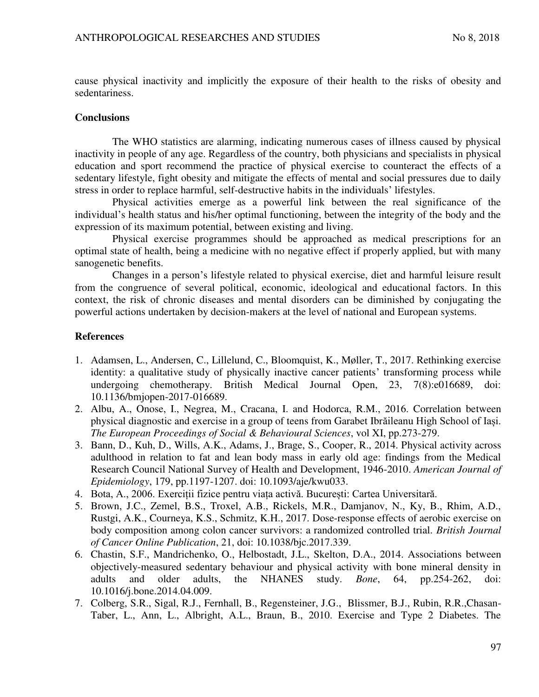cause physical inactivity and implicitly the exposure of their health to the risks of obesity and sedentariness.

#### **Conclusions**

The WHO statistics are alarming, indicating numerous cases of illness caused by physical inactivity in people of any age. Regardless of the country, both physicians and specialists in physical education and sport recommend the practice of physical exercise to counteract the effects of a sedentary lifestyle, fight obesity and mitigate the effects of mental and social pressures due to daily stress in order to replace harmful, self-destructive habits in the individuals' lifestyles.

Physical activities emerge as a powerful link between the real significance of the individual's health status and his/her optimal functioning, between the integrity of the body and the expression of its maximum potential, between existing and living.

Physical exercise programmes should be approached as medical prescriptions for an optimal state of health, being a medicine with no negative effect if properly applied, but with many sanogenetic benefits.

Changes in a person's lifestyle related to physical exercise, diet and harmful leisure result from the congruence of several political, economic, ideological and educational factors. In this context, the risk of chronic diseases and mental disorders can be diminished by conjugating the powerful actions undertaken by decision-makers at the level of national and European systems.

#### **References**

- 1. Adamsen, L., Andersen, C., Lillelund, C., Bloomquist, K., Møller, T., 2017. Rethinking exercise identity: a qualitative study of physically inactive cancer patients' transforming process while undergoing chemotherapy. British Medical Journal Open, 23, 7(8):e016689, doi: 10.1136/bmjopen-2017-016689.
- 2. Albu, A., Onose, I., Negrea, M., Cracana, I. and Hodorca, R.M., 2016. Correlation between physical diagnostic and exercise in a group of teens from Garabet Ibrăileanu High School of Iași. *The European Proceedings of Social & Behavioural Sciences*, vol XI, pp.273-279.
- 3. Bann, D., Kuh, D., Wills, A.K., Adams, J., Brage, S., Cooper, R., 2014. Physical activity across adulthood in relation to fat and lean body mass in early old age: findings from the Medical Research Council National Survey of Health and Development, 1946-2010. *American Journal of Epidemiology*, 179, pp.1197-1207. doi: 10.1093/aje/kwu033.
- 4. Bota, A., 2006. Exerciții fizice pentru viața activă. București: Cartea Universitară.
- 5. Brown, J.C., Zemel, B.S., Troxel, A.B., Rickels, M.R., Damjanov, N., Ky, B., Rhim, A.D., Rustgi, A.K., Courneya, K.S., Schmitz, K.H., 2017. Dose-response effects of aerobic exercise on body composition among colon cancer survivors: a randomized controlled trial. *British Journal of Cancer Online Publication*, 21, doi: 10.1038/bjc.2017.339.
- 6. Chastin, S.F., Mandrichenko, O., Helbostadt, J.L., Skelton, D.A., 2014. Associations between objectively-measured sedentary behaviour and physical activity with bone mineral density in adults and older adults, the NHANES study. *Bone*, 64, pp.254-262, doi: 10.1016/j.bone.2014.04.009.
- 7. Colberg, S.R., Sigal, R.J., Fernhall, B., Regensteiner, J.G., Blissmer, B.J., Rubin, R.R.,Chasan-Taber, L., Ann, L., Albright, A.L., Braun, B., 2010. Exercise and Type 2 Diabetes. The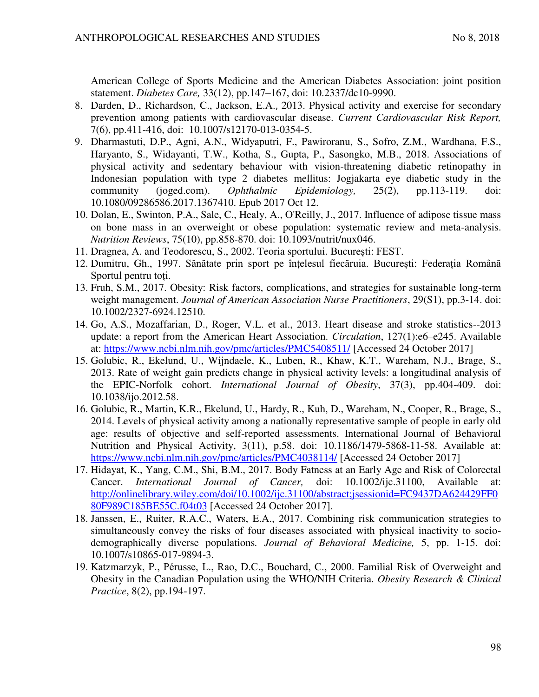American College of Sports Medicine and the American Diabetes Association: joint position statement. *Diabetes Care,* 33(12), pp.147–167, doi: 10.2337/dc10-9990.

- 8. Darden, D., Richardson, C., Jackson, E.A., 2013. Physical activity and exercise for secondary prevention among patients with cardiovascular disease. *Current Cardiovascular Risk Report,*  7(6), pp.411-416, doi: 10.1007/s12170-013-0354-5.
- 9. Dharmastuti, D.P., Agni, A.N., Widyaputri, F., Pawiroranu, S., Sofro, Z.M., Wardhana, F.S., Haryanto, S., Widayanti, T.W., Kotha, S., Gupta, P., Sasongko, M.B., 2018. Associations of physical activity and sedentary behaviour with vision-threatening diabetic retinopathy in Indonesian population with type 2 diabetes mellitus: Jogjakarta eye diabetic study in the community (joged.com). *Ophthalmic Epidemiology,* 25(2), pp.113-119. doi: 10.1080/09286586.2017.1367410. Epub 2017 Oct 12.
- 10. Dolan, E., Swinton, P.A., Sale, C., Healy, A., O'Reilly, J., 2017. Influence of adipose tissue mass on bone mass in an overweight or obese population: systematic review and meta-analysis. *Nutrition Reviews*, 75(10), pp.858-870. doi: 10.1093/nutrit/nux046.
- 11. Dragnea, A. and Teodorescu, S., 2002. Teoria sportului. București: FEST.
- 12. Dumitru, Gh., 1997. Sănătate prin sport pe înțelesul fiecăruia. București: Federația Română Sportul pentru toți.
- 13. Fruh, S.M., 2017. Obesity: Risk factors, complications, and strategies for sustainable long-term weight management. *Journal of American Association Nurse Practitioners*, 29(S1), pp.3-14. doi: 10.1002/2327-6924.12510.
- 14. Go, A.S., Mozaffarian, D., Roger, V.L. et al., 2013. Heart disease and stroke statistics--2013 update: a report from the American Heart Association. *Circulation*, 127(1):e6–e245. Available at:<https://www.ncbi.nlm.nih.gov/pmc/articles/PMC5408511/>[Accessed 24 October 2017]
- 15. Golubic, R., Ekelund, U., Wijndaele, K., Luben, R., Khaw, K.T., Wareham, N.J., Brage, S., 2013. Rate of weight gain predicts change in physical activity levels: a longitudinal analysis of the EPIC-Norfolk cohort. *International Journal of Obesity*, 37(3), pp.404-409. doi: 10.1038/ijo.2012.58.
- 16. Golubic, R., Martin, K.R., Ekelund, U., Hardy, R., Kuh, D., Wareham, N., Cooper, R., Brage, S., 2014. Levels of physical activity among a nationally representative sample of people in early old age: results of objective and self-reported assessments. International Journal of Behavioral Nutrition and Physical Activity, 3(11), p.58. doi: 10.1186/1479-5868-11-58. Available at: <https://www.ncbi.nlm.nih.gov/pmc/articles/PMC4038114/>[Accessed 24 October 2017]
- 17. Hidayat, K., Yang, C.M., Shi, B.M., 2017. Body Fatness at an Early Age and Risk of Colorectal Cancer. *International Journal of Cancer,* doi: 10.1002/ijc.31100, Available at: [http://onlinelibrary.wiley.com/doi/10.1002/ijc.31100/abstract;jsessionid=FC9437DA624429FF0](http://onlinelibrary.wiley.com/doi/10.1002/ijc.31100/abstract;jsessionid=FC9437DA624429FF080F989C185BE55C.f04t03) [80F989C185BE55C.f04t03](http://onlinelibrary.wiley.com/doi/10.1002/ijc.31100/abstract;jsessionid=FC9437DA624429FF080F989C185BE55C.f04t03) [Accessed 24 October 2017].
- 18. Janssen, E., Ruiter, R.A.C., Waters, E.A., 2017. Combining risk communication strategies to simultaneously convey the risks of four diseases associated with physical inactivity to sociodemographically diverse populations*. Journal of Behavioral Medicine,* 5, pp. 1-15. doi: 10.1007/s10865-017-9894-3.
- 19. Katzmarzyk, P., Pérusse, L., Rao, D.C., Bouchard, C., 2000. Familial Risk of Overweight and Obesity in the Canadian Population using the WHO/NIH Criteria. *Obesity Research & Clinical Practice*, 8(2), pp.194-197.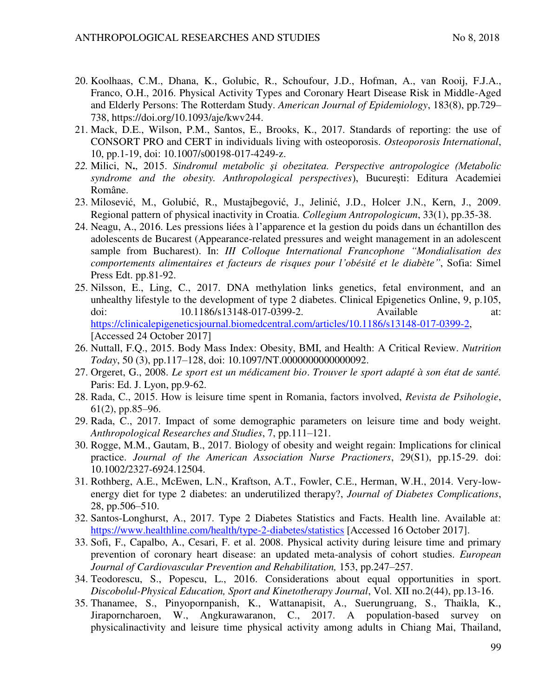- 20. Koolhaas, C.M., Dhana, K., Golubic, R., Schoufour, J.D., Hofman, A., van Rooij, F.J.A., Franco, O.H., 2016. Physical Activity Types and Coronary Heart Disease Risk in Middle-Aged and Elderly Persons: The Rotterdam Study. *American Journal of Epidemiology*, 183(8), pp.729– 738, https://doi.org/10.1093/aje/kwv244.
- 21. Mack, D.E., Wilson, P.M., Santos, E., Brooks, K., 2017. Standards of reporting: the use of CONSORT PRO and CERT in individuals living with osteoporosis. *Osteoporosis International*, 10, pp.1-19, doi: 10.1007/s00198-017-4249-z.
- *22.* Milici, N**.**, 2015. *Sindromul metabolic şi obezitatea. Perspective antropologice (Metabolic syndrome and the obesity. Anthropological perspectives*), Bucureşti: Editura Academiei Române.
- 23. Milosević, M., Golubić, R., Mustajbegović, J., Jelinić, J.D., Holcer J.N., Kern, J., 2009. Regional pattern of physical inactivity in Croatia. *Collegium Antropologicum*, 33(1), pp.35-38.
- 24. Neagu, A., 2016. Les pressions liées à l'apparence et la gestion du poids dans un échantillon des adolescents de Bucarest (Appearance-related pressures and weight management in an adolescent sample from Bucharest). In: *III Colloque International Francophone "Mondialisation des comportements alimentaires et facteurs de risques pour l'obésité et le diabète"*, Sofia: Simel Press Edt. pp.81-92.
- 25. Nilsson, E., Ling, C., 2017. DNA methylation links genetics, fetal environment, and an unhealthy lifestyle to the development of type 2 diabetes. Clinical Epigenetics Online, 9, p.105, doi: 10.1186/s13148-017-0399-2. Available at: [https://clinicalepigeneticsjournal.biomedcentral.com/articles/10.1186/s13148-017-0399-2,](https://clinicalepigeneticsjournal.biomedcentral.com/articles/10.1186/s13148-017-0399-2) [Accessed 24 October 2017]
- 26. Nuttall, F.Q., 2015. Body Mass Index: Obesity, BMI, and Health: A Critical Review. *Nutrition Today*, 50 (3), pp.117–128, doi: 10.1097/NT.0000000000000092.
- 27. Orgeret, G., 2008. *Le sport est un médicament bio*. *Trouver le sport adapté à son état de santé.*  Paris: Ed. J. Lyon, pp.9-62.
- 28. Rada, C., 2015. How is leisure time spent in Romania, factors involved, *Revista de Psihologie*, 61(2), pp.85–96.
- 29. Rada, C., 2017. Impact of some demographic parameters on leisure time and body weight. *Anthropological Researches and Studies*, 7, pp.111–121.
- 30. Rogge, M.M., Gautam, B., 2017. Biology of obesity and weight regain: Implications for clinical practice. *Journal of the American Association Nurse Practioners*, 29(S1), pp.15-29. doi: 10.1002/2327-6924.12504.
- 31. Rothberg, A.E., McEwen, L.N., Kraftson, A.T., Fowler, C.E., Herman, W.H., 2014. Very-lowenergy diet for type 2 diabetes: an underutilized therapy?, *Journal of Diabetes Complications*, 28, pp.506–510.
- 32. Santos-Longhurst, A., 2017. Type 2 Diabetes Statistics and Facts. Health line. Available at: <https://www.healthline.com/health/type-2-diabetes/statistics>[Accessed 16 October 2017].
- 33. Sofi, F., Capalbo, A., Cesari, F. et al. 2008. Physical activity during leisure time and primary prevention of coronary heart disease: an updated meta-analysis of cohort studies. *European Journal of Cardiovascular Prevention and Rehabilitation,* 153, pp.247–257.
- 34. Teodorescu, S., Popescu, L., 2016. Considerations about equal opportunities in sport. *Discobolul-Physical Education, Sport and Kinetotherapy Journal*, Vol. XII no.2(44), pp.13-16.
- 35. Thanamee, S., Pinyopornpanish, K., Wattanapisit, A., Suerungruang, S., Thaikla, K., Jiraporncharoen, W., Angkurawaranon, C., 2017. A population-based survey on physicalinactivity and leisure time physical activity among adults in Chiang Mai, Thailand,